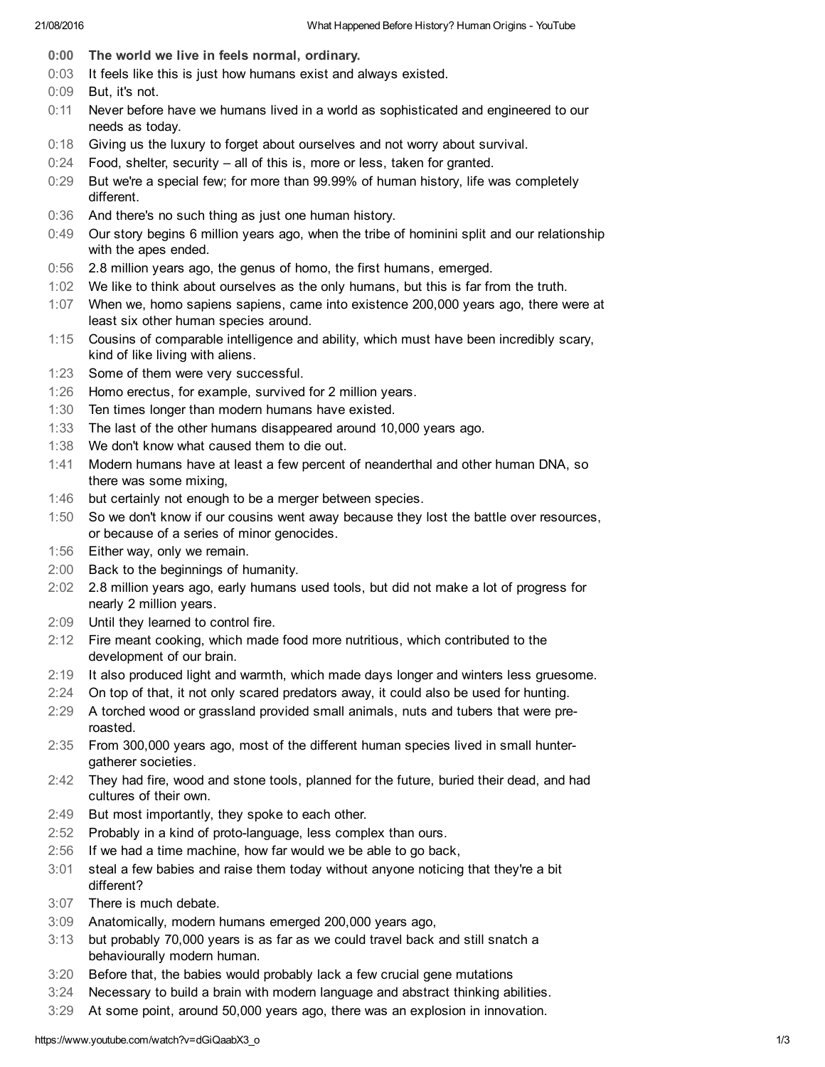- 0:00 The world we live in feels normal, ordinary.
- 0:03 It feels like this is just how humans exist and always existed.
- 0:09 But, it's not.
- 0:11 Never before have we humans lived in a world as sophisticated and engineered to our needs as today.
- 0:18 Giving us the luxury to forget about ourselves and not worry about survival.
- 0:24 Food, shelter, security all of this is, more or less, taken for granted.
- 0:29 But we're a special few; for more than 99.99% of human history, life was completely different.
- 0:36 And there's no such thing as just one human history.
- 0:49 Our story begins 6 million years ago, when the tribe of hominini split and our relationship with the apes ended.
- 0:56 2.8 million years ago, the genus of homo, the first humans, emerged.
- 1:02 We like to think about ourselves as the only humans, but this is far from the truth.
- 1:07 When we, homo sapiens sapiens, came into existence 200,000 years ago, there were at least six other human species around.
- 1:15 Cousins of comparable intelligence and ability, which must have been incredibly scary, kind of like living with aliens.
- 1:23 Some of them were very successful.
- 1:26 Homo erectus, for example, survived for 2 million years.
- 1:30 Ten times longer than modern humans have existed.
- 1:33 The last of the other humans disappeared around 10,000 years ago.
- 1:38 We don't know what caused them to die out.
- 1:41 Modern humans have at least a few percent of neanderthal and other human DNA, so there was some mixing,
- 1:46 but certainly not enough to be a merger between species.
- 1:50 So we don't know if our cousins went away because they lost the battle over resources, or because of a series of minor genocides.
- 1:56 Either way, only we remain.
- 2:00 Back to the beginnings of humanity.
- 2:02 2.8 million years ago, early humans used tools, but did not make a lot of progress for nearly 2 million years.
- 2:09 Until they learned to control fire.
- 2:12 Fire meant cooking, which made food more nutritious, which contributed to the development of our brain.
- 2:19 It also produced light and warmth, which made days longer and winters less gruesome.
- 2:24 On top of that, it not only scared predators away, it could also be used for hunting.
- 2:29 A torched wood or grassland provided small animals, nuts and tubers that were preroasted.
- 2:35 From 300,000 years ago, most of the different human species lived in small huntergatherer societies.
- 2:42 They had fire, wood and stone tools, planned for the future, buried their dead, and had cultures of their own.
- 2:49 But most importantly, they spoke to each other.
- 2:52 Probably in a kind of proto-language, less complex than ours.
- 2:56 If we had a time machine, how far would we be able to go back,
- 3:01 steal a few babies and raise them today without anyone noticing that they're a bit different?
- 3:07 There is much debate.
- 3:09 Anatomically, modern humans emerged 200,000 years ago,
- 3:13 but probably 70,000 years is as far as we could travel back and still snatch a behaviourally modern human.
- 3:20 Before that, the babies would probably lack a few crucial gene mutations
- 3:24 Necessary to build a brain with modern language and abstract thinking abilities.
- 3:29 At some point, around 50,000 years ago, there was an explosion in innovation.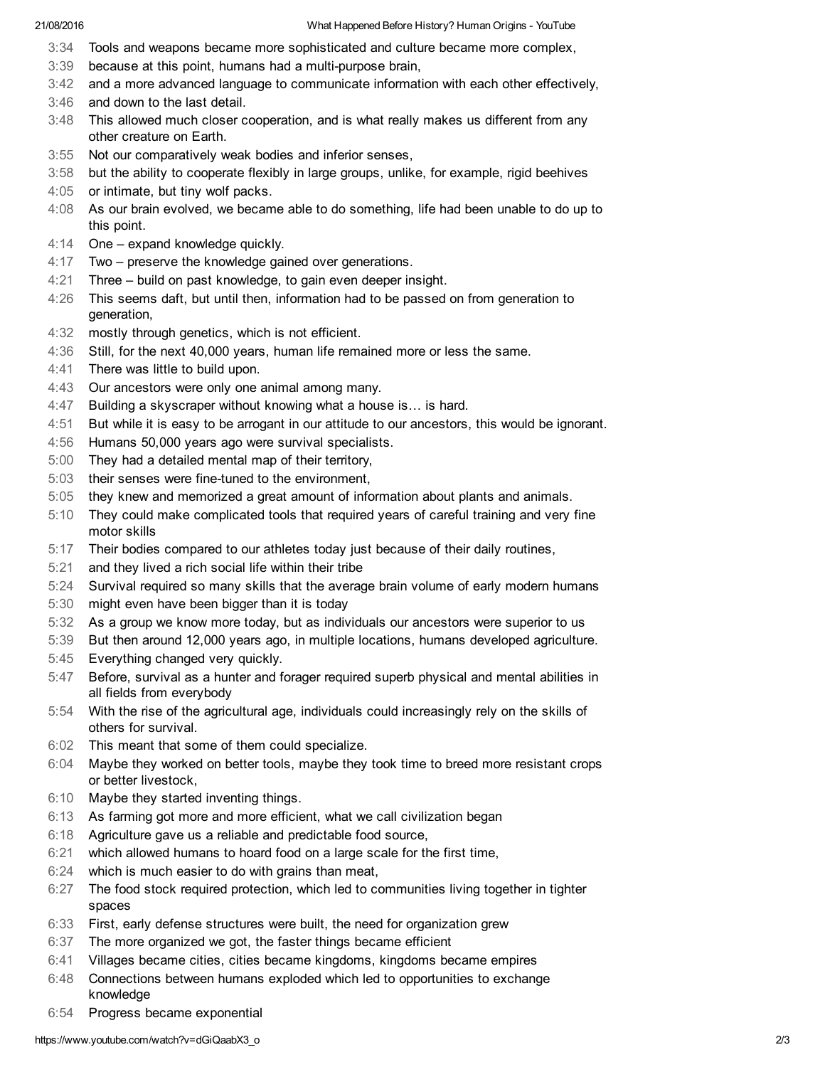- 3:34 Tools and weapons became more sophisticated and culture became more complex,
- 3:39 because at this point, humans had a multi-purpose brain,
- 3:42 and a more advanced language to communicate information with each other effectively,
- 3:46 and down to the last detail.
- 3:48 This allowed much closer cooperation, and is what really makes us different from any other creature on Earth.
- 3:55 Not our comparatively weak bodies and inferior senses,
- 3:58 but the ability to cooperate flexibly in large groups, unlike, for example, rigid beehives
- 4:05 or intimate, but tiny wolf packs.
- 4:08 As our brain evolved, we became able to do something, life had been unable to do up to this point.
- 4:14 One expand knowledge quickly.
- 4:17 Two preserve the knowledge gained over generations.
- 4:21 Three build on past knowledge, to gain even deeper insight.
- 4:26 This seems daft, but until then, information had to be passed on from generation to generation,
- 4:32 mostly through genetics, which is not efficient.
- 4:36 Still, for the next 40,000 years, human life remained more or less the same.
- 4:41 There was little to build upon.
- 4:43 Our ancestors were only one animal among many.
- 4:47 Building a skyscraper without knowing what a house is… is hard.
- 4:51 But while it is easy to be arrogant in our attitude to our ancestors, this would be ignorant.
- 4:56 Humans 50,000 years ago were survival specialists.
- 5:00 They had a detailed mental map of their territory,
- 5:03 their senses were fine-tuned to the environment,
- 5:05 they knew and memorized a great amount of information about plants and animals.
- 5:10 They could make complicated tools that required years of careful training and very fine motor skills
- 5:17 Their bodies compared to our athletes today just because of their daily routines,
- 5:21 and they lived a rich social life within their tribe
- 5:24 Survival required so many skills that the average brain volume of early modern humans
- 5:30 might even have been bigger than it is today
- 5:32 As a group we know more today, but as individuals our ancestors were superior to us
- 5:39 But then around 12,000 years ago, in multiple locations, humans developed agriculture.
- 5:45 Everything changed very quickly.
- 5:47 Before, survival as a hunter and forager required superb physical and mental abilities in all fields from everybody
- 5:54 With the rise of the agricultural age, individuals could increasingly rely on the skills of others for survival.
- 6:02 This meant that some of them could specialize.
- 6:04 Maybe they worked on better tools, maybe they took time to breed more resistant crops or better livestock,
- 6:10 Maybe they started inventing things.
- 6:13 As farming got more and more efficient, what we call civilization began
- 6:18 Agriculture gave us a reliable and predictable food source,
- 6:21 which allowed humans to hoard food on a large scale for the first time,
- 6:24 which is much easier to do with grains than meat,
- 6:27 The food stock required protection, which led to communities living together in tighter spaces
- 6:33 First, early defense structures were built, the need for organization grew
- 6:37 The more organized we got, the faster things became efficient
- 6:41 Villages became cities, cities became kingdoms, kingdoms became empires
- 6:48 Connections between humans exploded which led to opportunities to exchange knowledge
- 6:54 Progress became exponential